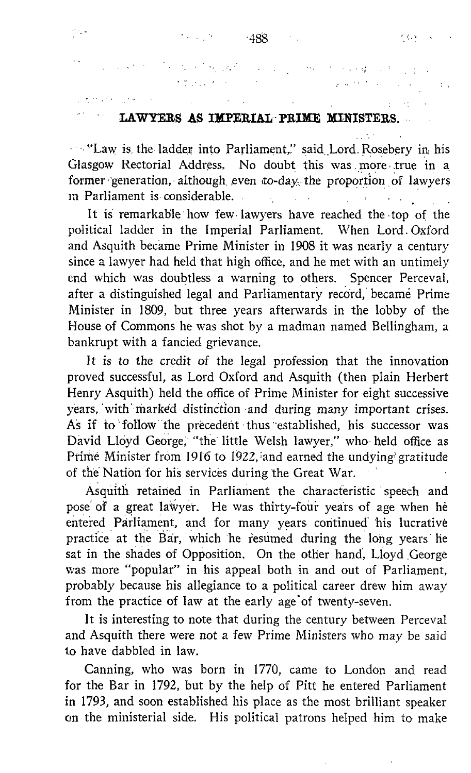## LAWYERS AS IMPERIAL° PRIME MINISTERS. .

"Law is the ladder into Parliament," said Lord Rosebery in his Glasgow Rectorial Address, No doubt this was more true in a former generation, although even to-day the proportion of lawyers<br>in Parliament is considerable in Parliament is considerable .  $\mathcal{L}_{\mathrm{eff}}$  $\sim 10^{-1}$ 

It is remarkable how few-lawyers have reached the top of the political ladder in the Imperial Parliament. When Lord Oxford and Asquith became Prime Minister in 1908 it was nearly a century since a lawyer had held that high office, and he met with an untimely end which was doubtless a warning to others. Spencer Perceval, after a distinguished legal and Parliamentary record, became Prime Minister in 1809, but three years afterwards in the lobby of the House of Commons he was shot by a madman named Bellingham, a bankrupt with a fancied grievance.

It is to the credit of the legal profession that the innovation proved successful, as Lord Oxford and Asquith (then plain Herbert Henry Asquith) held the office of Prime Minister for eight successive years, with marked distinction and during many important crises. As if to follow the precedent thus established, his successor was David Lloyd George, "the little Welsh lawyer," who held office as Prime Minister from 1916 to 1922, and earned the undying gratitude of the Nation for his services during the Great War.

Asquith retained in Parliament the characteristic 'speech and pose of a great lawyer. He was thirty-four years of age when hè entered Parliament, and for many years continued his lucrative practice at the Bar, which he resumed during the long years he sat in the shades of Opposition. On the other hand, Lloyd George was more "popular" in his appeal both in and out of Parliament, probably because his allegiance to <sup>a</sup> political career drew him away from the practice of law at the early age of twenty-seven.

It is interesting to note that during the century between Perceval and Asquith there were not a few Prime Ministers who may be said to have dabbled in law.

Canning, who was born in 1770, came to London and read for the Bar in 1792, but by the help of Pitt he entered Parliament in 1793, and soon established his place as the most brilliant speaker on the ministerial side. His political patrons helped him to make

and the state of the component ಿ ಪ್ರಿಕೆಟ್ ಮಾಡಿದ ಸಂಸ್ಥೆಯಲ್ಲಿ<br>ಕಾರ್ಮಿಕ್ ಪ್ರಿಯಾಂಗ್<br>ಪ್ರಾಂತಿ ಪ್ರಾಂತಿ ಪ್ರಾಂತಿ ಪ್ರಾಂತಿ

ras de

 $\sim$  :

e gly